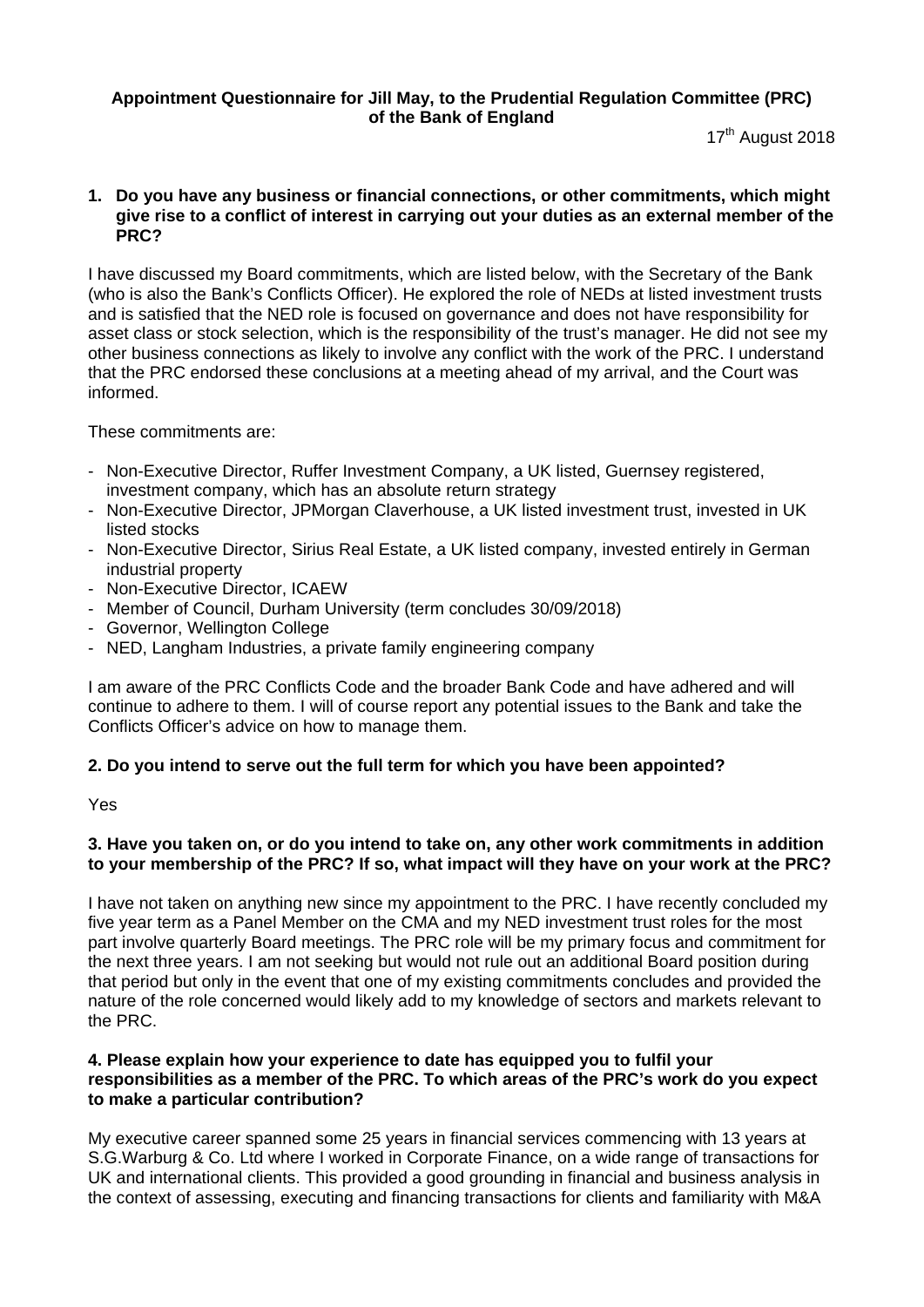# **Appointment Questionnaire for Jill May, to the Prudential Regulation Committee (PRC) of the Bank of England**

17<sup>th</sup> August 2018

### **1. Do you have any business or financial connections, or other commitments, which might give rise to a conflict of interest in carrying out your duties as an external member of the PRC?**

I have discussed my Board commitments, which are listed below, with the Secretary of the Bank (who is also the Bank's Conflicts Officer). He explored the role of NEDs at listed investment trusts and is satisfied that the NED role is focused on governance and does not have responsibility for asset class or stock selection, which is the responsibility of the trust's manager. He did not see my other business connections as likely to involve any conflict with the work of the PRC. I understand that the PRC endorsed these conclusions at a meeting ahead of my arrival, and the Court was informed.

These commitments are:

- Non-Executive Director, Ruffer Investment Company, a UK listed, Guernsey registered, investment company, which has an absolute return strategy
- Non-Executive Director, JPMorgan Claverhouse, a UK listed investment trust, invested in UK listed stocks
- Non-Executive Director, Sirius Real Estate, a UK listed company, invested entirely in German industrial property
- Non-Executive Director, ICAEW
- Member of Council, Durham University (term concludes 30/09/2018)
- Governor, Wellington College
- NED, Langham Industries, a private family engineering company

I am aware of the PRC Conflicts Code and the broader Bank Code and have adhered and will continue to adhere to them. I will of course report any potential issues to the Bank and take the Conflicts Officer's advice on how to manage them.

# **2. Do you intend to serve out the full term for which you have been appointed?**

Yes

# **3. Have you taken on, or do you intend to take on, any other work commitments in addition to your membership of the PRC? If so, what impact will they have on your work at the PRC?**

I have not taken on anything new since my appointment to the PRC. I have recently concluded my five year term as a Panel Member on the CMA and my NED investment trust roles for the most part involve quarterly Board meetings. The PRC role will be my primary focus and commitment for the next three years. I am not seeking but would not rule out an additional Board position during that period but only in the event that one of my existing commitments concludes and provided the nature of the role concerned would likely add to my knowledge of sectors and markets relevant to the PRC.

# **4. Please explain how your experience to date has equipped you to fulfil your responsibilities as a member of the PRC. To which areas of the PRC's work do you expect to make a particular contribution?**

My executive career spanned some 25 years in financial services commencing with 13 years at S.G.Warburg & Co. Ltd where I worked in Corporate Finance, on a wide range of transactions for UK and international clients. This provided a good grounding in financial and business analysis in the context of assessing, executing and financing transactions for clients and familiarity with M&A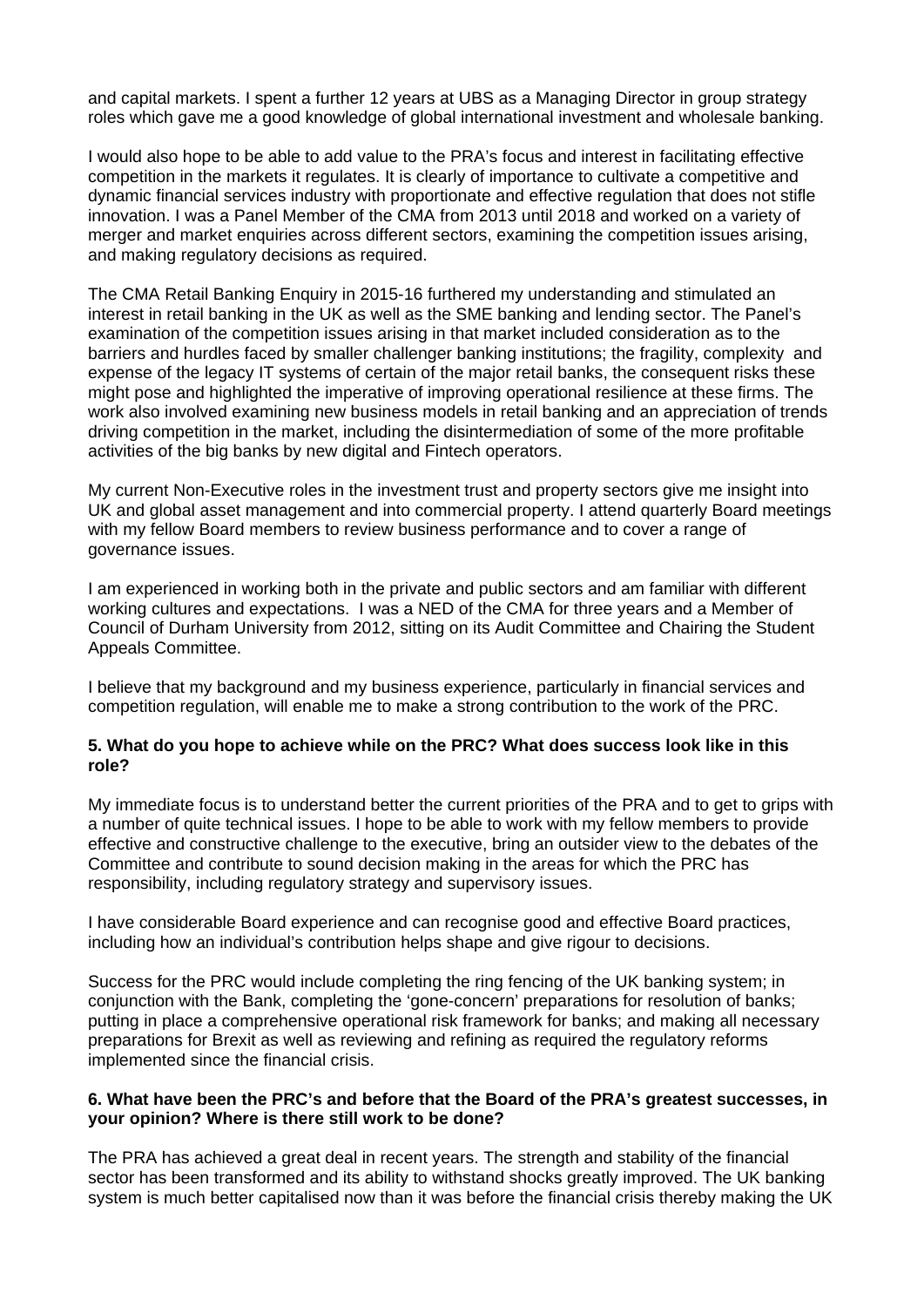and capital markets. I spent a further 12 years at UBS as a Managing Director in group strategy roles which gave me a good knowledge of global international investment and wholesale banking.

I would also hope to be able to add value to the PRA's focus and interest in facilitating effective competition in the markets it regulates. It is clearly of importance to cultivate a competitive and dynamic financial services industry with proportionate and effective regulation that does not stifle innovation. I was a Panel Member of the CMA from 2013 until 2018 and worked on a variety of merger and market enquiries across different sectors, examining the competition issues arising, and making regulatory decisions as required.

The CMA Retail Banking Enquiry in 2015-16 furthered my understanding and stimulated an interest in retail banking in the UK as well as the SME banking and lending sector. The Panel's examination of the competition issues arising in that market included consideration as to the barriers and hurdles faced by smaller challenger banking institutions; the fragility, complexity and expense of the legacy IT systems of certain of the major retail banks, the consequent risks these might pose and highlighted the imperative of improving operational resilience at these firms. The work also involved examining new business models in retail banking and an appreciation of trends driving competition in the market, including the disintermediation of some of the more profitable activities of the big banks by new digital and Fintech operators.

My current Non-Executive roles in the investment trust and property sectors give me insight into UK and global asset management and into commercial property. I attend quarterly Board meetings with my fellow Board members to review business performance and to cover a range of governance issues.

I am experienced in working both in the private and public sectors and am familiar with different working cultures and expectations. I was a NED of the CMA for three years and a Member of Council of Durham University from 2012, sitting on its Audit Committee and Chairing the Student Appeals Committee.

I believe that my background and my business experience, particularly in financial services and competition regulation, will enable me to make a strong contribution to the work of the PRC.

### **5. What do you hope to achieve while on the PRC? What does success look like in this role?**

My immediate focus is to understand better the current priorities of the PRA and to get to grips with a number of quite technical issues. I hope to be able to work with my fellow members to provide effective and constructive challenge to the executive, bring an outsider view to the debates of the Committee and contribute to sound decision making in the areas for which the PRC has responsibility, including regulatory strategy and supervisory issues.

I have considerable Board experience and can recognise good and effective Board practices, including how an individual's contribution helps shape and give rigour to decisions.

Success for the PRC would include completing the ring fencing of the UK banking system; in conjunction with the Bank, completing the 'gone-concern' preparations for resolution of banks; putting in place a comprehensive operational risk framework for banks; and making all necessary preparations for Brexit as well as reviewing and refining as required the regulatory reforms implemented since the financial crisis.

### **6. What have been the PRC's and before that the Board of the PRA's greatest successes, in your opinion? Where is there still work to be done?**

The PRA has achieved a great deal in recent years. The strength and stability of the financial sector has been transformed and its ability to withstand shocks greatly improved. The UK banking system is much better capitalised now than it was before the financial crisis thereby making the UK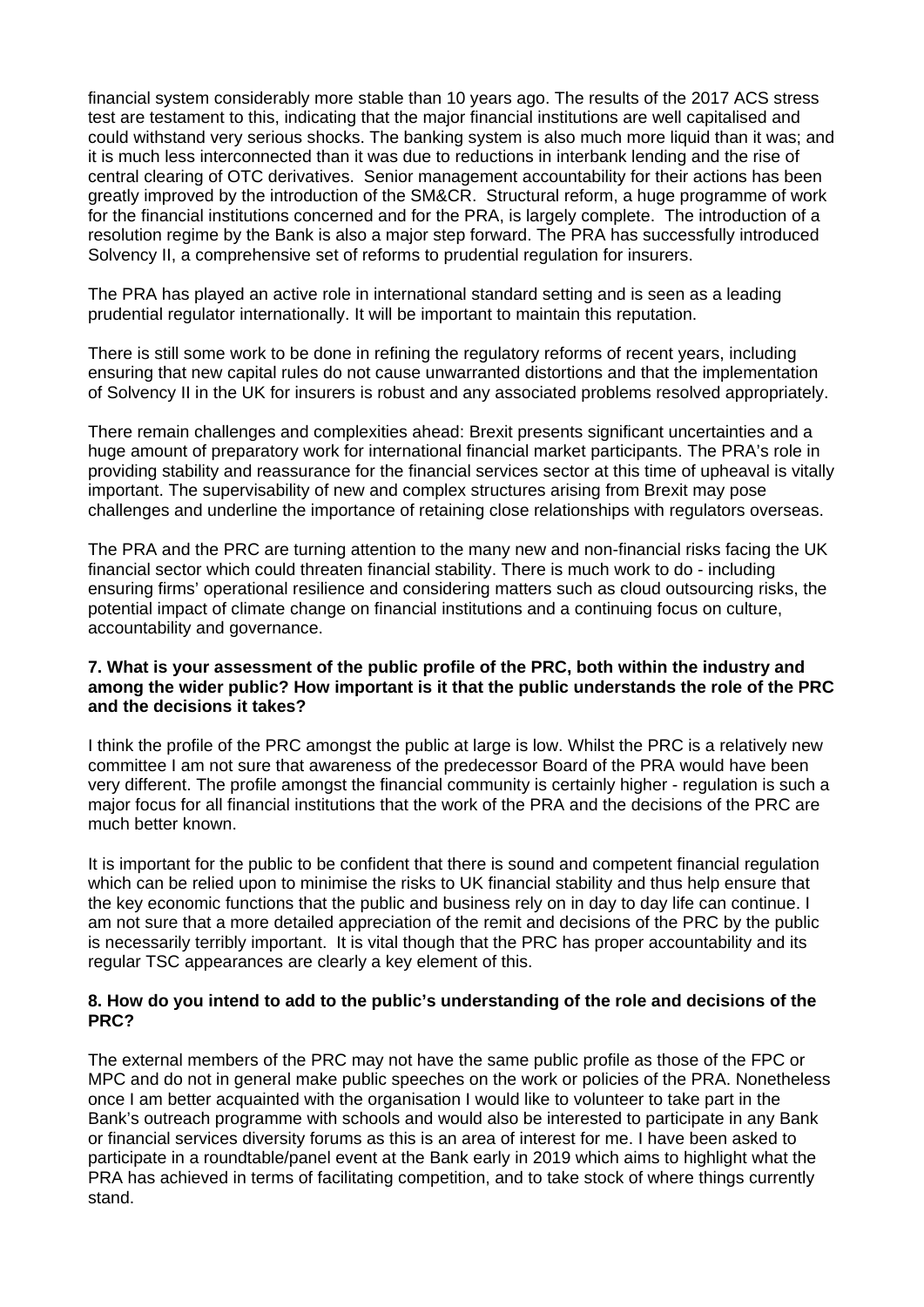financial system considerably more stable than 10 years ago. The results of the 2017 ACS stress test are testament to this, indicating that the major financial institutions are well capitalised and could withstand very serious shocks. The banking system is also much more liquid than it was; and it is much less interconnected than it was due to reductions in interbank lending and the rise of central clearing of OTC derivatives. Senior management accountability for their actions has been greatly improved by the introduction of the SM&CR. Structural reform, a huge programme of work for the financial institutions concerned and for the PRA, is largely complete. The introduction of a resolution regime by the Bank is also a major step forward. The PRA has successfully introduced Solvency II, a comprehensive set of reforms to prudential regulation for insurers.

The PRA has played an active role in international standard setting and is seen as a leading prudential regulator internationally. It will be important to maintain this reputation.

There is still some work to be done in refining the regulatory reforms of recent years, including ensuring that new capital rules do not cause unwarranted distortions and that the implementation of Solvency II in the UK for insurers is robust and any associated problems resolved appropriately.

There remain challenges and complexities ahead: Brexit presents significant uncertainties and a huge amount of preparatory work for international financial market participants. The PRA's role in providing stability and reassurance for the financial services sector at this time of upheaval is vitally important. The supervisability of new and complex structures arising from Brexit may pose challenges and underline the importance of retaining close relationships with regulators overseas.

The PRA and the PRC are turning attention to the many new and non-financial risks facing the UK financial sector which could threaten financial stability. There is much work to do - including ensuring firms' operational resilience and considering matters such as cloud outsourcing risks, the potential impact of climate change on financial institutions and a continuing focus on culture, accountability and governance.

#### **7. What is your assessment of the public profile of the PRC, both within the industry and among the wider public? How important is it that the public understands the role of the PRC and the decisions it takes?**

I think the profile of the PRC amongst the public at large is low. Whilst the PRC is a relatively new committee I am not sure that awareness of the predecessor Board of the PRA would have been very different. The profile amongst the financial community is certainly higher - regulation is such a major focus for all financial institutions that the work of the PRA and the decisions of the PRC are much better known.

It is important for the public to be confident that there is sound and competent financial regulation which can be relied upon to minimise the risks to UK financial stability and thus help ensure that the key economic functions that the public and business rely on in day to day life can continue. I am not sure that a more detailed appreciation of the remit and decisions of the PRC by the public is necessarily terribly important. It is vital though that the PRC has proper accountability and its regular TSC appearances are clearly a key element of this.

# **8. How do you intend to add to the public's understanding of the role and decisions of the PRC?**

The external members of the PRC may not have the same public profile as those of the FPC or MPC and do not in general make public speeches on the work or policies of the PRA. Nonetheless once I am better acquainted with the organisation I would like to volunteer to take part in the Bank's outreach programme with schools and would also be interested to participate in any Bank or financial services diversity forums as this is an area of interest for me. I have been asked to participate in a roundtable/panel event at the Bank early in 2019 which aims to highlight what the PRA has achieved in terms of facilitating competition, and to take stock of where things currently stand.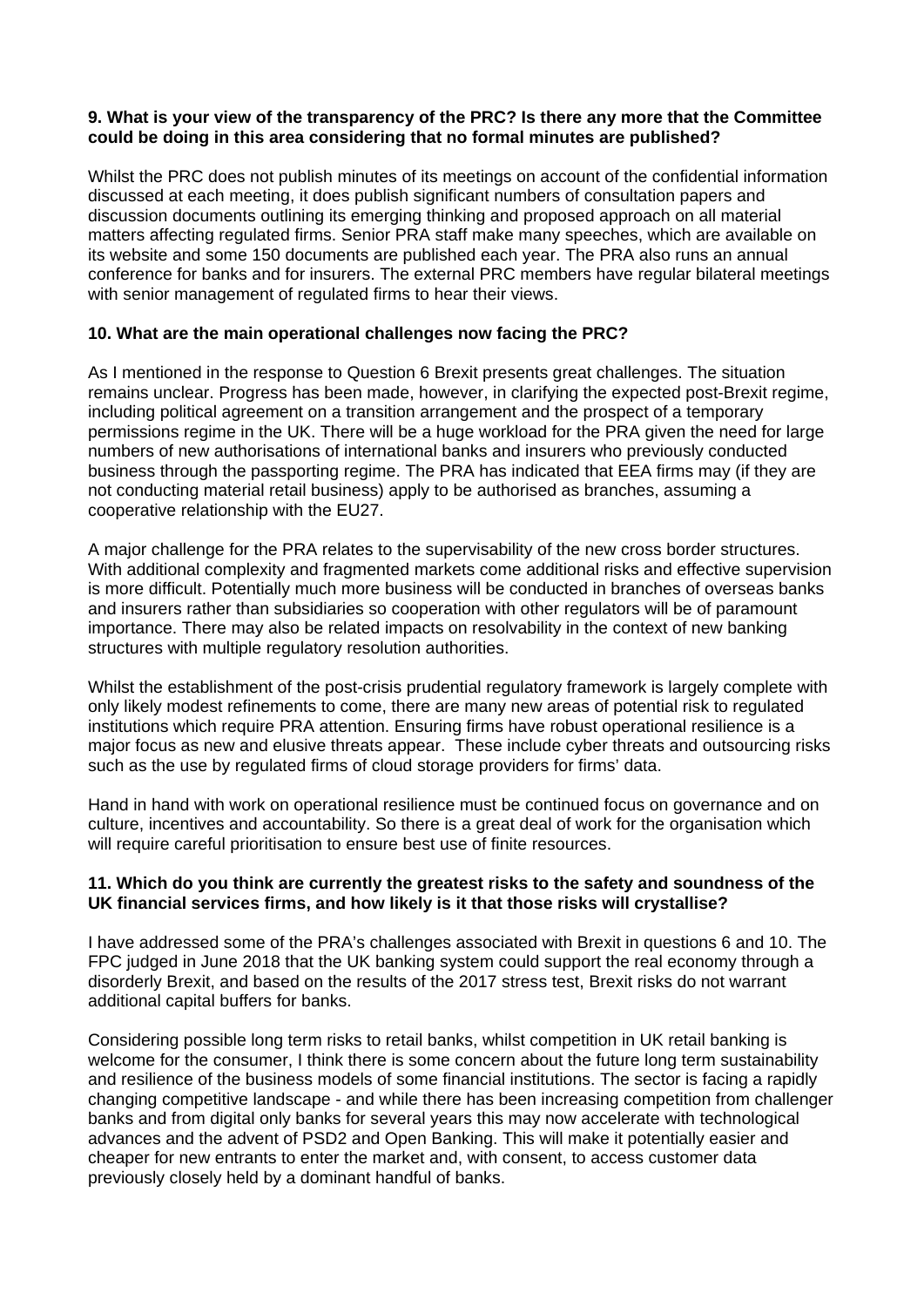### **9. What is your view of the transparency of the PRC? Is there any more that the Committee could be doing in this area considering that no formal minutes are published?**

Whilst the PRC does not publish minutes of its meetings on account of the confidential information discussed at each meeting, it does publish significant numbers of consultation papers and discussion documents outlining its emerging thinking and proposed approach on all material matters affecting regulated firms. Senior PRA staff make many speeches, which are available on its website and some 150 documents are published each year. The PRA also runs an annual conference for banks and for insurers. The external PRC members have regular bilateral meetings with senior management of regulated firms to hear their views.

# **10. What are the main operational challenges now facing the PRC?**

As I mentioned in the response to Question 6 Brexit presents great challenges. The situation remains unclear. Progress has been made, however, in clarifying the expected post-Brexit regime, including political agreement on a transition arrangement and the prospect of a temporary permissions regime in the UK. There will be a huge workload for the PRA given the need for large numbers of new authorisations of international banks and insurers who previously conducted business through the passporting regime. The PRA has indicated that EEA firms may (if they are not conducting material retail business) apply to be authorised as branches, assuming a cooperative relationship with the EU27.

A major challenge for the PRA relates to the supervisability of the new cross border structures. With additional complexity and fragmented markets come additional risks and effective supervision is more difficult. Potentially much more business will be conducted in branches of overseas banks and insurers rather than subsidiaries so cooperation with other regulators will be of paramount importance. There may also be related impacts on resolvability in the context of new banking structures with multiple regulatory resolution authorities.

Whilst the establishment of the post-crisis prudential regulatory framework is largely complete with only likely modest refinements to come, there are many new areas of potential risk to regulated institutions which require PRA attention. Ensuring firms have robust operational resilience is a major focus as new and elusive threats appear. These include cyber threats and outsourcing risks such as the use by regulated firms of cloud storage providers for firms' data.

Hand in hand with work on operational resilience must be continued focus on governance and on culture, incentives and accountability. So there is a great deal of work for the organisation which will require careful prioritisation to ensure best use of finite resources.

# **11. Which do you think are currently the greatest risks to the safety and soundness of the UK financial services firms, and how likely is it that those risks will crystallise?**

I have addressed some of the PRA's challenges associated with Brexit in questions 6 and 10. The FPC judged in June 2018 that the UK banking system could support the real economy through a disorderly Brexit, and based on the results of the 2017 stress test, Brexit risks do not warrant additional capital buffers for banks.

Considering possible long term risks to retail banks, whilst competition in UK retail banking is welcome for the consumer, I think there is some concern about the future long term sustainability and resilience of the business models of some financial institutions. The sector is facing a rapidly changing competitive landscape - and while there has been increasing competition from challenger banks and from digital only banks for several years this may now accelerate with technological advances and the advent of PSD2 and Open Banking. This will make it potentially easier and cheaper for new entrants to enter the market and, with consent, to access customer data previously closely held by a dominant handful of banks.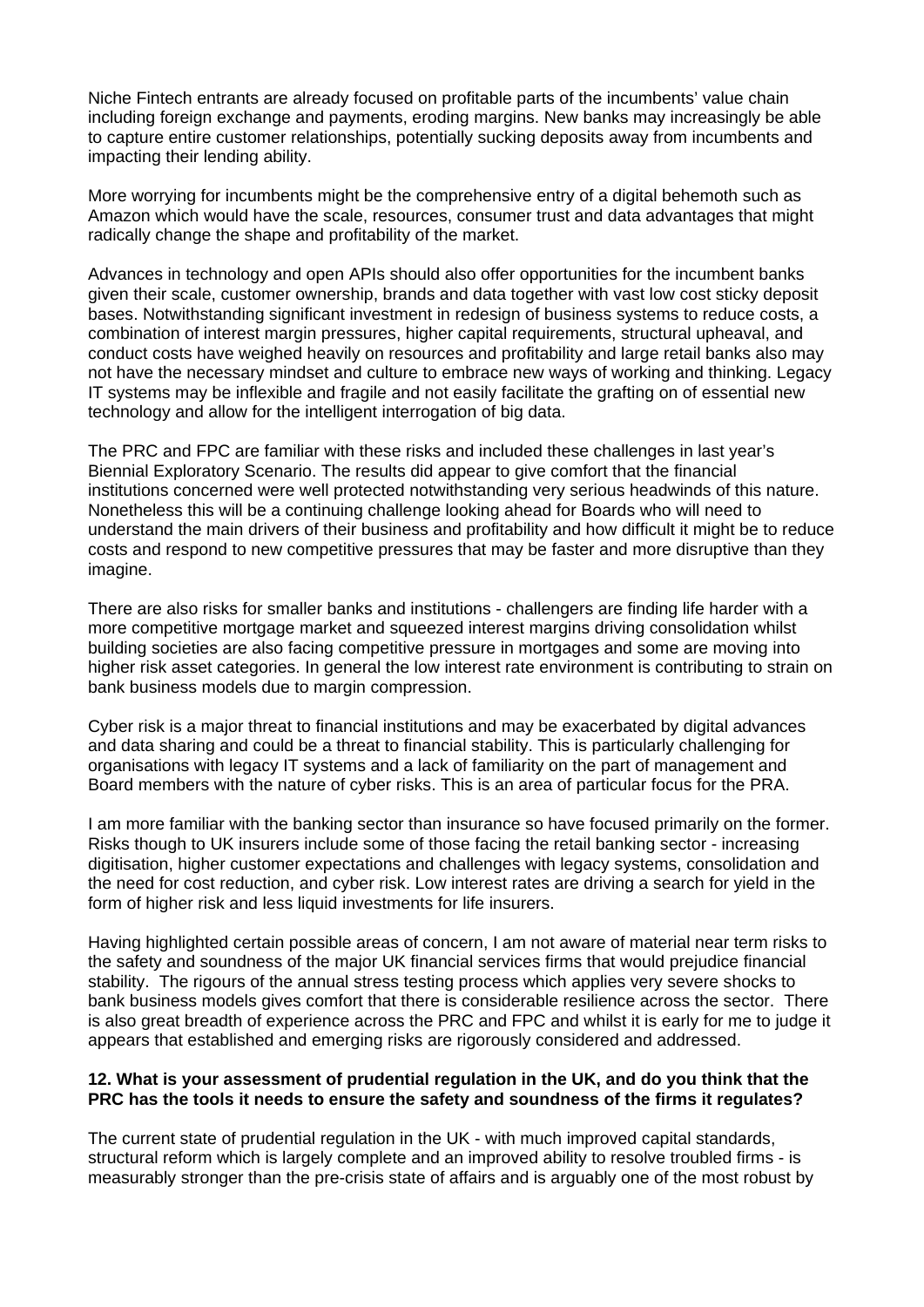Niche Fintech entrants are already focused on profitable parts of the incumbents' value chain including foreign exchange and payments, eroding margins. New banks may increasingly be able to capture entire customer relationships, potentially sucking deposits away from incumbents and impacting their lending ability.

More worrying for incumbents might be the comprehensive entry of a digital behemoth such as Amazon which would have the scale, resources, consumer trust and data advantages that might radically change the shape and profitability of the market.

Advances in technology and open APIs should also offer opportunities for the incumbent banks given their scale, customer ownership, brands and data together with vast low cost sticky deposit bases. Notwithstanding significant investment in redesign of business systems to reduce costs, a combination of interest margin pressures, higher capital requirements, structural upheaval, and conduct costs have weighed heavily on resources and profitability and large retail banks also may not have the necessary mindset and culture to embrace new ways of working and thinking. Legacy IT systems may be inflexible and fragile and not easily facilitate the grafting on of essential new technology and allow for the intelligent interrogation of big data.

The PRC and FPC are familiar with these risks and included these challenges in last year's Biennial Exploratory Scenario. The results did appear to give comfort that the financial institutions concerned were well protected notwithstanding very serious headwinds of this nature. Nonetheless this will be a continuing challenge looking ahead for Boards who will need to understand the main drivers of their business and profitability and how difficult it might be to reduce costs and respond to new competitive pressures that may be faster and more disruptive than they imagine.

There are also risks for smaller banks and institutions - challengers are finding life harder with a more competitive mortgage market and squeezed interest margins driving consolidation whilst building societies are also facing competitive pressure in mortgages and some are moving into higher risk asset categories. In general the low interest rate environment is contributing to strain on bank business models due to margin compression.

Cyber risk is a major threat to financial institutions and may be exacerbated by digital advances and data sharing and could be a threat to financial stability. This is particularly challenging for organisations with legacy IT systems and a lack of familiarity on the part of management and Board members with the nature of cyber risks. This is an area of particular focus for the PRA.

I am more familiar with the banking sector than insurance so have focused primarily on the former. Risks though to UK insurers include some of those facing the retail banking sector - increasing digitisation, higher customer expectations and challenges with legacy systems, consolidation and the need for cost reduction, and cyber risk. Low interest rates are driving a search for yield in the form of higher risk and less liquid investments for life insurers.

Having highlighted certain possible areas of concern, I am not aware of material near term risks to the safety and soundness of the major UK financial services firms that would prejudice financial stability. The rigours of the annual stress testing process which applies very severe shocks to bank business models gives comfort that there is considerable resilience across the sector. There is also great breadth of experience across the PRC and FPC and whilst it is early for me to judge it appears that established and emerging risks are rigorously considered and addressed.

# **12. What is your assessment of prudential regulation in the UK, and do you think that the PRC has the tools it needs to ensure the safety and soundness of the firms it regulates?**

The current state of prudential regulation in the UK - with much improved capital standards, structural reform which is largely complete and an improved ability to resolve troubled firms - is measurably stronger than the pre-crisis state of affairs and is arguably one of the most robust by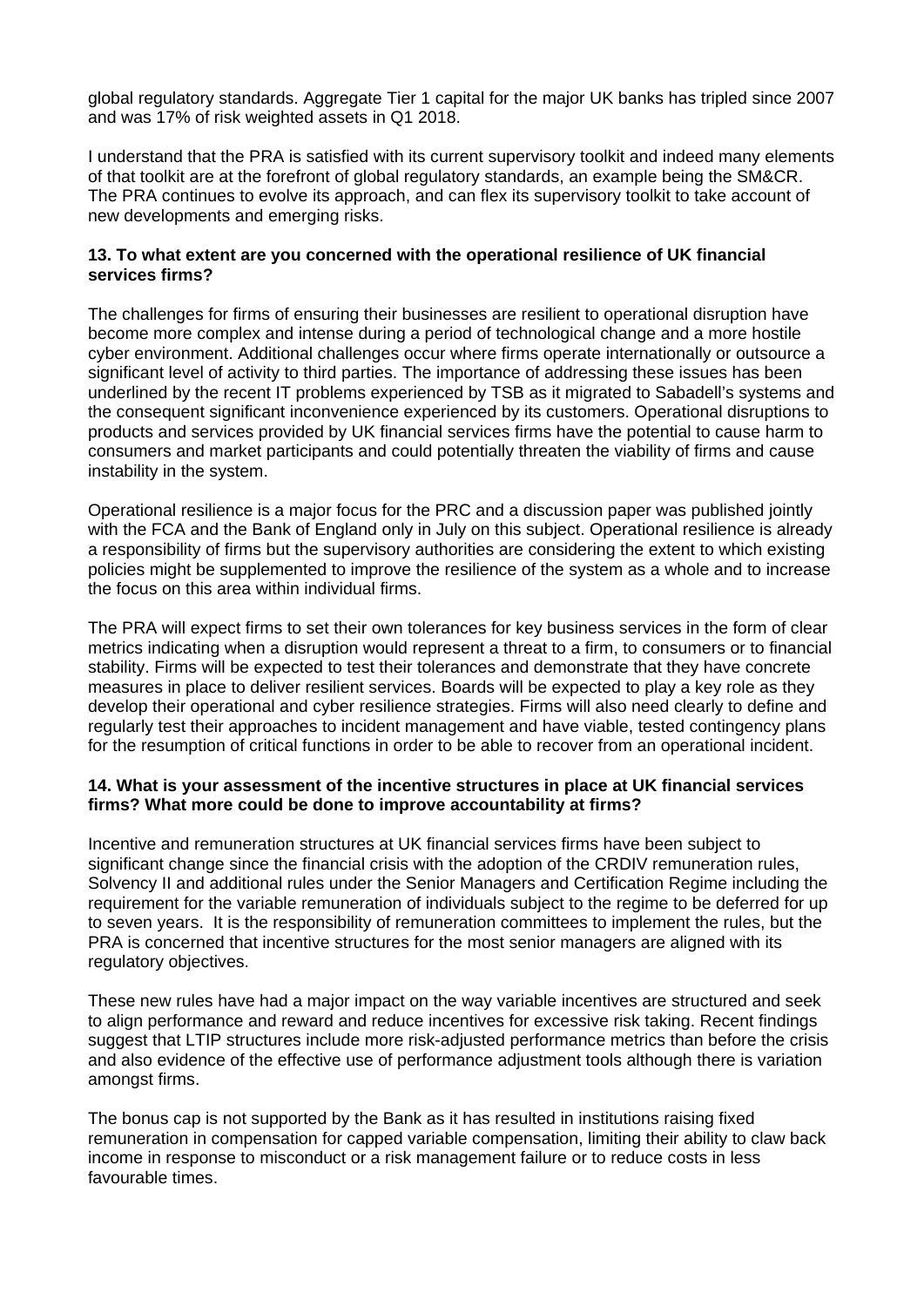global regulatory standards. Aggregate Tier 1 capital for the major UK banks has tripled since 2007 and was 17% of risk weighted assets in Q1 2018.

I understand that the PRA is satisfied with its current supervisory toolkit and indeed many elements of that toolkit are at the forefront of global regulatory standards, an example being the SM&CR. The PRA continues to evolve its approach, and can flex its supervisory toolkit to take account of new developments and emerging risks.

# **13. To what extent are you concerned with the operational resilience of UK financial services firms?**

The challenges for firms of ensuring their businesses are resilient to operational disruption have become more complex and intense during a period of technological change and a more hostile cyber environment. Additional challenges occur where firms operate internationally or outsource a significant level of activity to third parties. The importance of addressing these issues has been underlined by the recent IT problems experienced by TSB as it migrated to Sabadell's systems and the consequent significant inconvenience experienced by its customers. Operational disruptions to products and services provided by UK financial services firms have the potential to cause harm to consumers and market participants and could potentially threaten the viability of firms and cause instability in the system.

Operational resilience is a major focus for the PRC and a discussion paper was published jointly with the FCA and the Bank of England only in July on this subject. Operational resilience is already a responsibility of firms but the supervisory authorities are considering the extent to which existing policies might be supplemented to improve the resilience of the system as a whole and to increase the focus on this area within individual firms.

The PRA will expect firms to set their own tolerances for key business services in the form of clear metrics indicating when a disruption would represent a threat to a firm, to consumers or to financial stability. Firms will be expected to test their tolerances and demonstrate that they have concrete measures in place to deliver resilient services. Boards will be expected to play a key role as they develop their operational and cyber resilience strategies. Firms will also need clearly to define and regularly test their approaches to incident management and have viable, tested contingency plans for the resumption of critical functions in order to be able to recover from an operational incident.

# **14. What is your assessment of the incentive structures in place at UK financial services firms? What more could be done to improve accountability at firms?**

Incentive and remuneration structures at UK financial services firms have been subject to significant change since the financial crisis with the adoption of the CRDIV remuneration rules, Solvency II and additional rules under the Senior Managers and Certification Regime including the requirement for the variable remuneration of individuals subject to the regime to be deferred for up to seven years. It is the responsibility of remuneration committees to implement the rules, but the PRA is concerned that incentive structures for the most senior managers are aligned with its regulatory objectives.

These new rules have had a major impact on the way variable incentives are structured and seek to align performance and reward and reduce incentives for excessive risk taking. Recent findings suggest that LTIP structures include more risk-adjusted performance metrics than before the crisis and also evidence of the effective use of performance adjustment tools although there is variation amongst firms.

The bonus cap is not supported by the Bank as it has resulted in institutions raising fixed remuneration in compensation for capped variable compensation, limiting their ability to claw back income in response to misconduct or a risk management failure or to reduce costs in less favourable times.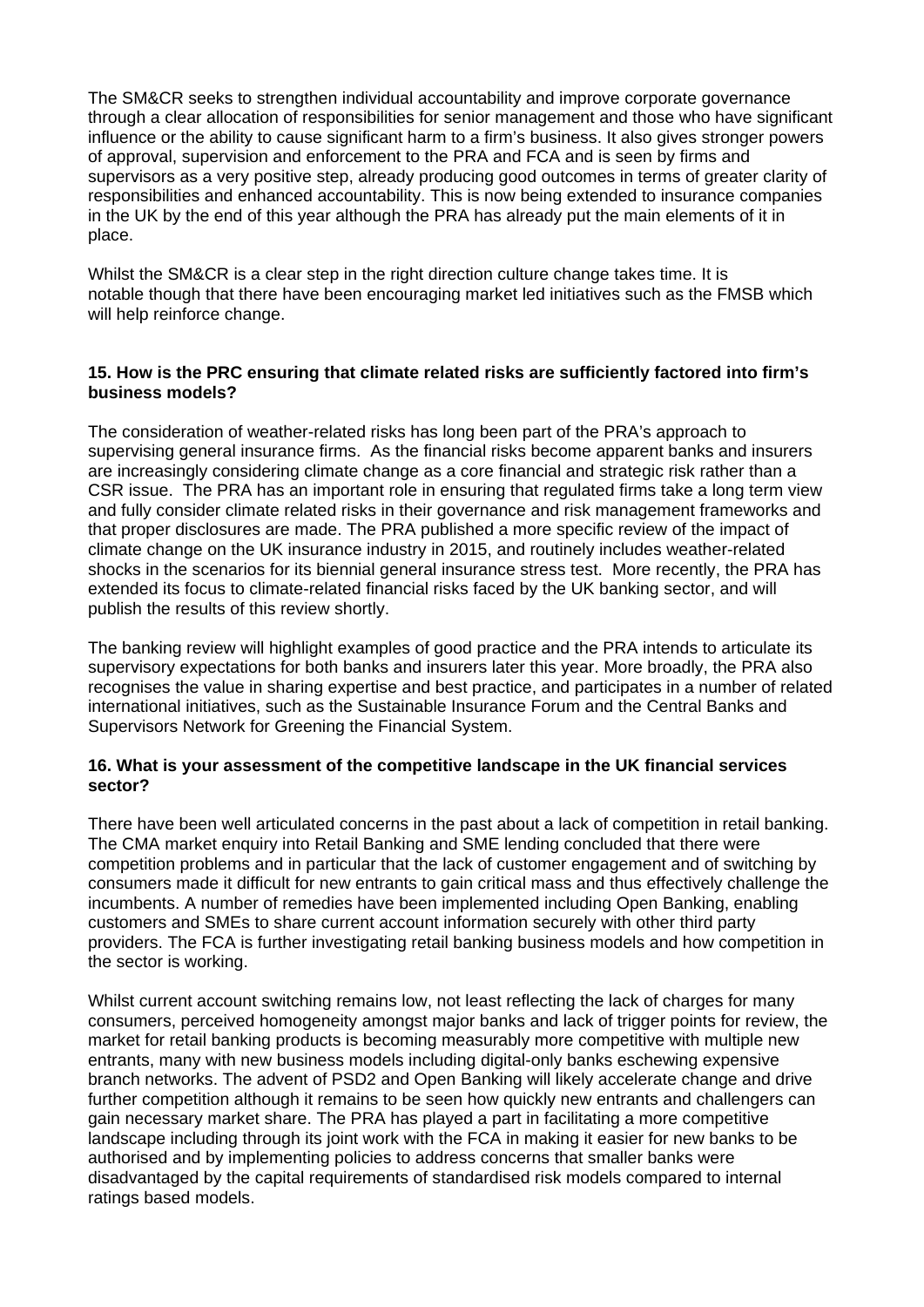The SM&CR seeks to strengthen individual accountability and improve corporate governance through a clear allocation of responsibilities for senior management and those who have significant influence or the ability to cause significant harm to a firm's business. It also gives stronger powers of approval, supervision and enforcement to the PRA and FCA and is seen by firms and supervisors as a very positive step, already producing good outcomes in terms of greater clarity of responsibilities and enhanced accountability. This is now being extended to insurance companies in the UK by the end of this year although the PRA has already put the main elements of it in place.

Whilst the SM&CR is a clear step in the right direction culture change takes time. It is notable though that there have been encouraging market led initiatives such as the FMSB which will help reinforce change.

# **15. How is the PRC ensuring that climate related risks are sufficiently factored into firm's business models?**

The consideration of weather-related risks has long been part of the PRA's approach to supervising general insurance firms. As the financial risks become apparent banks and insurers are increasingly considering climate change as a core financial and strategic risk rather than a CSR issue. The PRA has an important role in ensuring that regulated firms take a long term view and fully consider climate related risks in their governance and risk management frameworks and that proper disclosures are made. The PRA published a more specific review of the impact of climate change on the UK insurance industry in 2015, and routinely includes weather-related shocks in the scenarios for its biennial general insurance stress test. More recently, the PRA has extended its focus to climate-related financial risks faced by the UK banking sector, and will publish the results of this review shortly.

The banking review will highlight examples of good practice and the PRA intends to articulate its supervisory expectations for both banks and insurers later this year. More broadly, the PRA also recognises the value in sharing expertise and best practice, and participates in a number of related international initiatives, such as the Sustainable Insurance Forum and the Central Banks and Supervisors Network for Greening the Financial System.

# **16. What is your assessment of the competitive landscape in the UK financial services sector?**

There have been well articulated concerns in the past about a lack of competition in retail banking. The CMA market enquiry into Retail Banking and SME lending concluded that there were competition problems and in particular that the lack of customer engagement and of switching by consumers made it difficult for new entrants to gain critical mass and thus effectively challenge the incumbents. A number of remedies have been implemented including Open Banking, enabling customers and SMEs to share current account information securely with other third party providers. The FCA is further investigating retail banking business models and how competition in the sector is working.

Whilst current account switching remains low, not least reflecting the lack of charges for many consumers, perceived homogeneity amongst major banks and lack of trigger points for review, the market for retail banking products is becoming measurably more competitive with multiple new entrants, many with new business models including digital-only banks eschewing expensive branch networks. The advent of PSD2 and Open Banking will likely accelerate change and drive further competition although it remains to be seen how quickly new entrants and challengers can gain necessary market share. The PRA has played a part in facilitating a more competitive landscape including through its joint work with the FCA in making it easier for new banks to be authorised and by implementing policies to address concerns that smaller banks were disadvantaged by the capital requirements of standardised risk models compared to internal ratings based models.